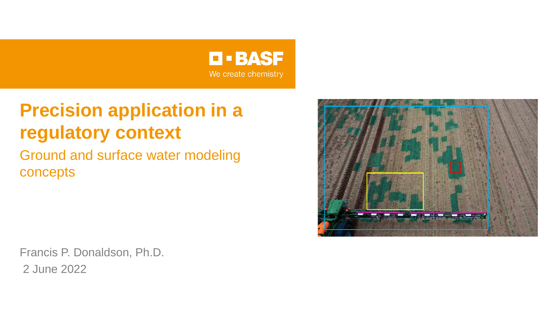

# **Precision application in a regulatory context**

Ground and surface water modeling concepts



Francis P. Donaldson, Ph.D. 2 June 2022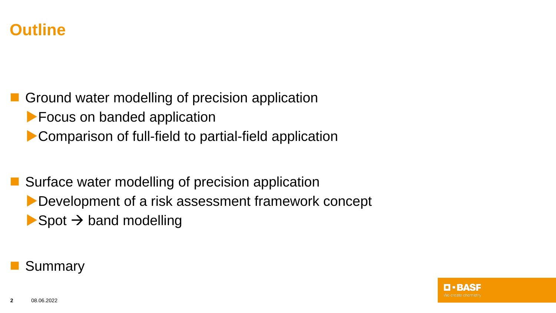

◼ Ground water modelling of precision application **Focus on banded application Comparison of full-field to partial-field application** 

Surface water modelling of precision application Development of a risk assessment framework concept  $\blacktriangleright$  Spot  $\rightarrow$  band modelling

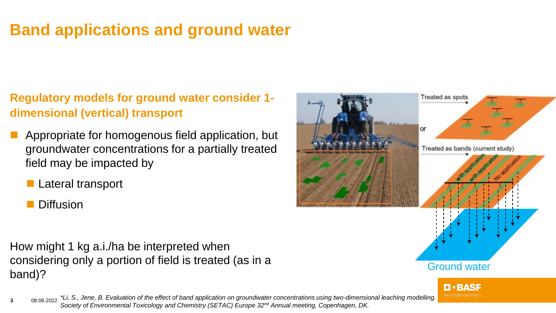# **Band applications and ground water**

### **Regulatory models for ground water consider 1 dimensional (vertical) transport**

- ◼ Appropriate for homogenous field application, but groundwater concentrations for a partially treated field may be impacted by
	- Lateral transport
	- **Diffusion**

How might 1 kg a.i./ha be interpreted when considering only a portion of field is treated (as in a band)?





**3** 08.06.2022 *\*Li, S., Jene, B. Evaluation of the effect of band application on groundwater concentrations using two-dimensional leaching modelling. Society of Environmental Toxicology and Chemistry (SETAC) Europe 32nd Annual meeting, Copenhagen, DK.*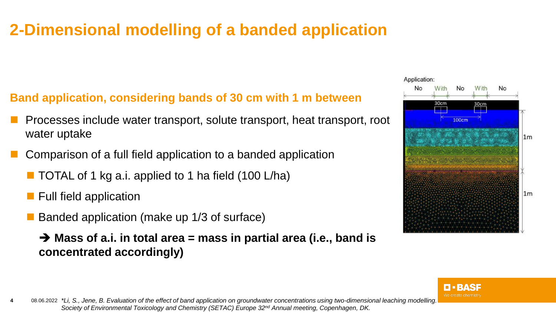# **2-Dimensional modelling of a banded application**

## **Band application, considering bands of 30 cm with 1 m between**

- ◼ Processes include water transport, solute transport, heat transport, root water uptake
- Comparison of a full field application to a banded application
	- TOTAL of 1 kg a.i. applied to 1 ha field (100 L/ha)
	- Full field application
	- Banded application (make up 1/3 of surface)
		- ➔ **Mass of a.i. in total area = mass in partial area (i.e., band is concentrated accordingly)**



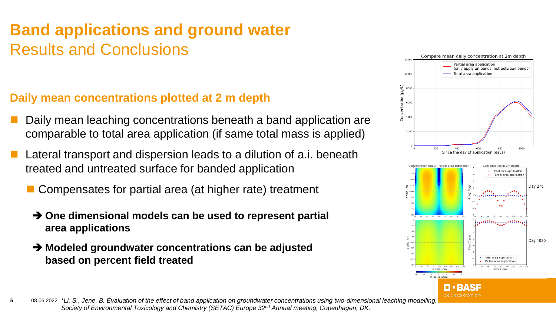# **Band applications and ground water**  Results and Conclusions

#### **Daily mean concentrations plotted at 2 m depth**

- Daily mean leaching concentrations beneath a band application are comparable to total area application (if same total mass is applied)
- Lateral transport and dispersion leads to a dilution of a.i. beneath treated and untreated surface for banded application
	- Compensates for partial area (at higher rate) treatment
		- ➔ **One dimensional models can be used to represent partial area applications**
		- ➔ **Modeled groundwater concentrations can be adjusted based on percent field treated**



**5** 08.06.2022 *\*Li, S., Jene, B. Evaluation of the effect of band application on groundwater concentrations using two-dimensional leaching modelling. Society of Environmental Toxicology and Chemistry (SETAC) Europe 32nd Annual meeting, Copenhagen, DK.*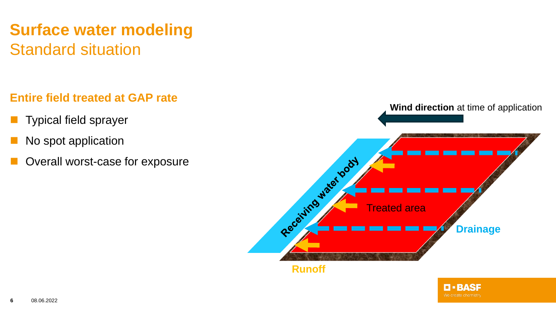# **Surface water modeling** Standard situation

#### **Entire field treated at GAP rate**

- Typical field sprayer
- No spot application
- Overall worst-case for exposure



We create chemistry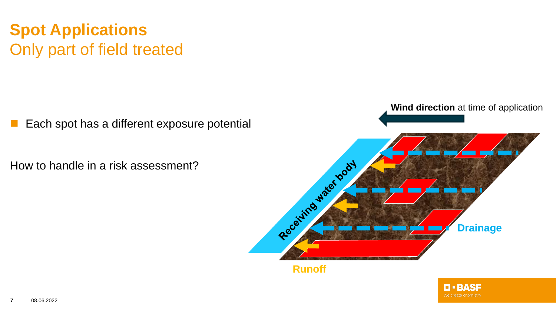## **Spot Applications** Only part of field treated

Each spot has a different exposure potential

How to handle in a risk assessment?



O BASE We create chemistry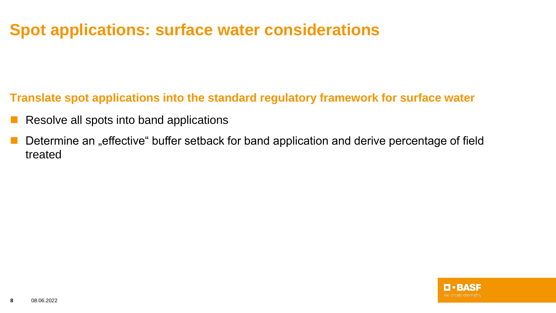## **Spot applications: surface water considerations**

**Translate spot applications into the standard regulatory framework for surface water**

- Resolve all spots into band applications
- Determine an "effective" buffer setback for band application and derive percentage of field treated

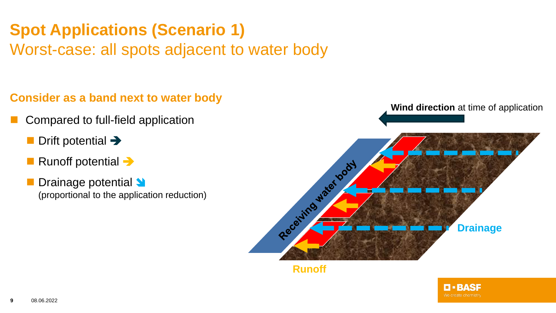# **Spot Applications (Scenario 1)**

Worst-case: all spots adjacent to water body

## **Consider as a band next to water body**

- Compared to full-field application
	- Drift potential →
	- Runoff potential →
	- Drainage potential **V** (proportional to the application reduction)



**TEBASE**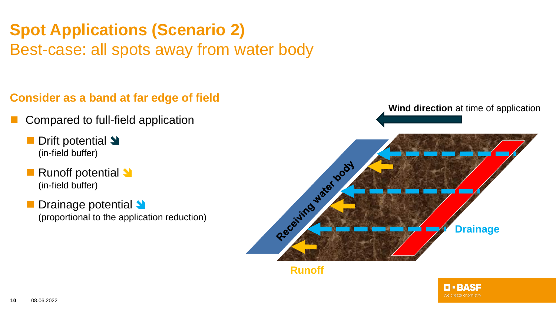# **Spot Applications (Scenario 2)**

Best-case: all spots away from water body

### **Consider as a band at far edge of field**

- Compared to full-field application
	- Drift potential **→** (in-field buffer)
	- Runoff potential <sup>●</sup> (in-field buffer)
	- Drainage potential **N** (proportional to the application reduction)



O • BASE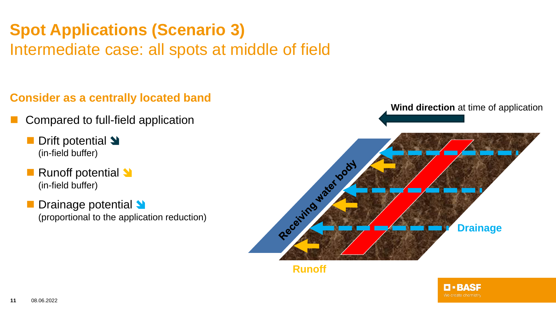# **Spot Applications (Scenario 3)**

Intermediate case: all spots at middle of field

## **Consider as a centrally located band**

- Compared to full-field application
	- Drift potential **→** (in-field buffer)
	- Runoff potential <sup>●</sup> (in-field buffer)
	- Drainage potential **N** (proportional to the application reduction)



#### **Runoff**

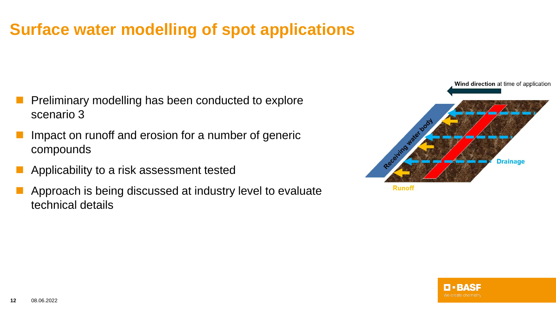## **Surface water modelling of spot applications**

- ◼ Preliminary modelling has been conducted to explore scenario 3
- Impact on runoff and erosion for a number of generic compounds
- ◼ Applicability to a risk assessment tested
- Approach is being discussed at industry level to evaluate technical details



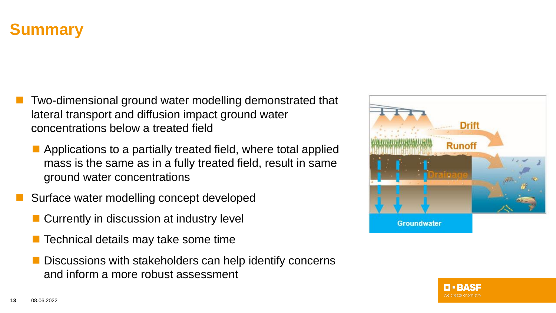## **Summary**

- Two-dimensional ground water modelling demonstrated that lateral transport and diffusion impact ground water concentrations below a treated field
	- Applications to a partially treated field, where total applied mass is the same as in a fully treated field, result in same ground water concentrations
- Surface water modelling concept developed
	- Currently in discussion at industry level
	- Technical details may take some time
	- Discussions with stakeholders can help identify concerns and inform a more robust assessment